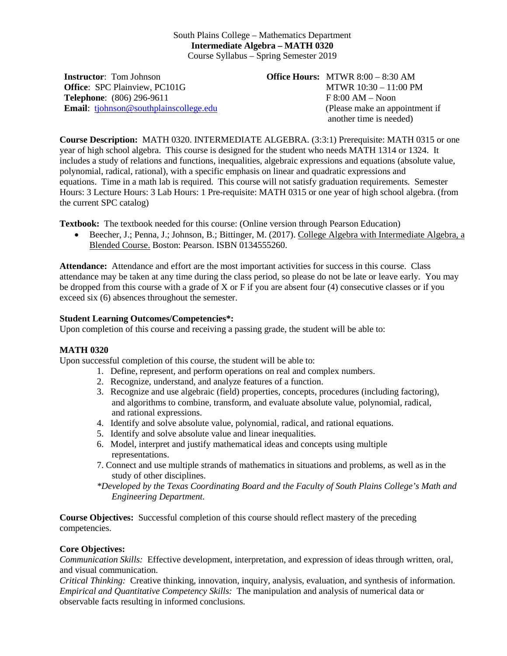## South Plains College – Mathematics Department **Intermediate Algebra – MATH 0320** Course Syllabus – Spring Semester 2019

**Instructor**: Tom Johnson **Office**: SPC Plainview, PC101G **Telephone**: (806) 296-9611 **Email**: [tjohnson@southplainscollege.edu](mailto:tjohnson@southplainscollege.edu) **Office Hours:** MTWR 8:00 – 8:30 AM MTWR 10:30 – 11:00 PM F 8:00 AM – Noon (Please make an appointment if another time is needed)

**Course Description:** MATH 0320. INTERMEDIATE ALGEBRA. (3:3:1) Prerequisite: MATH 0315 or one year of high school algebra. This course is designed for the student who needs MATH 1314 or 1324. It includes a study of relations and functions, inequalities, algebraic expressions and equations (absolute value, polynomial, radical, rational), with a specific emphasis on linear and quadratic expressions and equations. Time in a math lab is required. This course will not satisfy graduation requirements. Semester Hours: 3 Lecture Hours: 3 Lab Hours: 1 Pre-requisite: MATH 0315 or one year of high school algebra. (from the current SPC catalog)

**Textbook:** The textbook needed for this course: (Online version through Pearson Education)

• Beecher, J.; Penna, J.; Johnson, B.; Bittinger, M. (2017). College Algebra with Intermediate Algebra, a Blended Course. Boston: Pearson. ISBN 0134555260.

**Attendance:** Attendance and effort are the most important activities for success in this course. Class attendance may be taken at any time during the class period, so please do not be late or leave early. You may be dropped from this course with a grade of X or F if you are absent four (4) consecutive classes or if you exceed six (6) absences throughout the semester.

## **Student Learning Outcomes/Competencies\*:**

Upon completion of this course and receiving a passing grade, the student will be able to:

## **MATH 0320**

Upon successful completion of this course, the student will be able to:

- 1. Define, represent, and perform operations on real and complex numbers.
- 2. Recognize, understand, and analyze features of a function.
- 3. Recognize and use algebraic (field) properties, concepts, procedures (including factoring), and algorithms to combine, transform, and evaluate absolute value, polynomial, radical, and rational expressions.
- 4. Identify and solve absolute value, polynomial, radical, and rational equations.
- 5. Identify and solve absolute value and linear inequalities.
- 6. Model, interpret and justify mathematical ideas and concepts using multiple representations.
- 7. Connect and use multiple strands of mathematics in situations and problems, as well as in the study of other disciplines.
- *\*Developed by the Texas Coordinating Board and the Faculty of South Plains College's Math and Engineering Department.*

**Course Objectives:** Successful completion of this course should reflect mastery of the preceding competencies.

## **Core Objectives:**

*Communication Skills:* Effective development, interpretation, and expression of ideas through written, oral, and visual communication.

*Critical Thinking:* Creative thinking, innovation, inquiry, analysis, evaluation, and synthesis of information. *Empirical and Quantitative Competency Skills:* The manipulation and analysis of numerical data or observable facts resulting in informed conclusions.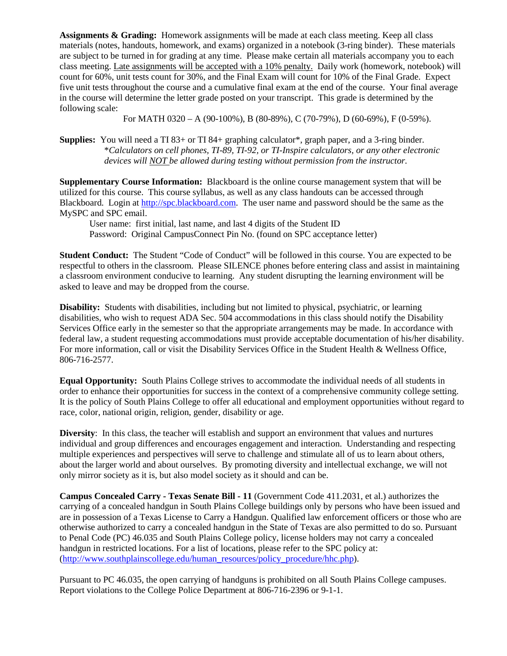**Assignments & Grading:** Homework assignments will be made at each class meeting. Keep all class materials (notes, handouts, homework, and exams) organized in a notebook (3-ring binder). These materials are subject to be turned in for grading at any time. Please make certain all materials accompany you to each class meeting. Late assignments will be accepted with a 10% penalty. Daily work (homework, notebook) will count for 60%, unit tests count for 30%, and the Final Exam will count for 10% of the Final Grade. Expect five unit tests throughout the course and a cumulative final exam at the end of the course. Your final average in the course will determine the letter grade posted on your transcript. This grade is determined by the following scale:

For MATH 0320 – A (90-100%), B (80-89%), C (70-79%), D (60-69%), F (0-59%).

**Supplies:** You will need a TI 83+ or TI 84+ graphing calculator\*, graph paper, and a 3-ring binder. \**Calculators on cell phones, TI-89, TI-92, or TI-Inspire calculators, or any other electronic devices will NOT be allowed during testing without permission from the instructor.*

**Supplementary Course Information:** Blackboard is the online course management system that will be utilized for this course. This course syllabus, as well as any class handouts can be accessed through Blackboard. Login at [http://spc.blackboard.com.](http://spc.blackboard.com/) The user name and password should be the same as the MySPC and SPC email.

User name: first initial, last name, and last 4 digits of the Student ID Password: Original CampusConnect Pin No. (found on SPC acceptance letter)

**Student Conduct:** The Student "Code of Conduct" will be followed in this course. You are expected to be respectful to others in the classroom. Please SILENCE phones before entering class and assist in maintaining a classroom environment conducive to learning. Any student disrupting the learning environment will be asked to leave and may be dropped from the course.

**Disability:** Students with disabilities, including but not limited to physical, psychiatric, or learning disabilities, who wish to request ADA Sec. 504 accommodations in this class should notify the Disability Services Office early in the semester so that the appropriate arrangements may be made. In accordance with federal law, a student requesting accommodations must provide acceptable documentation of his/her disability. For more information, call or visit the Disability Services Office in the Student Health & Wellness Office, 806-716-2577.

**Equal Opportunity:** South Plains College strives to accommodate the individual needs of all students in order to enhance their opportunities for success in the context of a comprehensive community college setting. It is the policy of South Plains College to offer all educational and employment opportunities without regard to race, color, national origin, religion, gender, disability or age.

**Diversity**: In this class, the teacher will establish and support an environment that values and nurtures individual and group differences and encourages engagement and interaction. Understanding and respecting multiple experiences and perspectives will serve to challenge and stimulate all of us to learn about others, about the larger world and about ourselves. By promoting diversity and intellectual exchange, we will not only mirror society as it is, but also model society as it should and can be.

**Campus Concealed Carry - Texas Senate Bill - 11** (Government Code 411.2031, et al.) authorizes the carrying of a concealed handgun in South Plains College buildings only by persons who have been issued and are in possession of a Texas License to Carry a Handgun. Qualified law enforcement officers or those who are otherwise authorized to carry a concealed handgun in the State of Texas are also permitted to do so. Pursuant to Penal Code (PC) 46.035 and South Plains College policy, license holders may not carry a concealed handgun in restricted locations. For a list of locations, please refer to the SPC policy at: [\(http://www.southplainscollege.edu/human\\_resources/policy\\_procedure/hhc.php\)](http://www.southplainscollege.edu/human_resources/policy_procedure/hhc.php).

Pursuant to PC 46.035, the open carrying of handguns is prohibited on all South Plains College campuses. Report violations to the College Police Department at 806-716-2396 or 9-1-1.